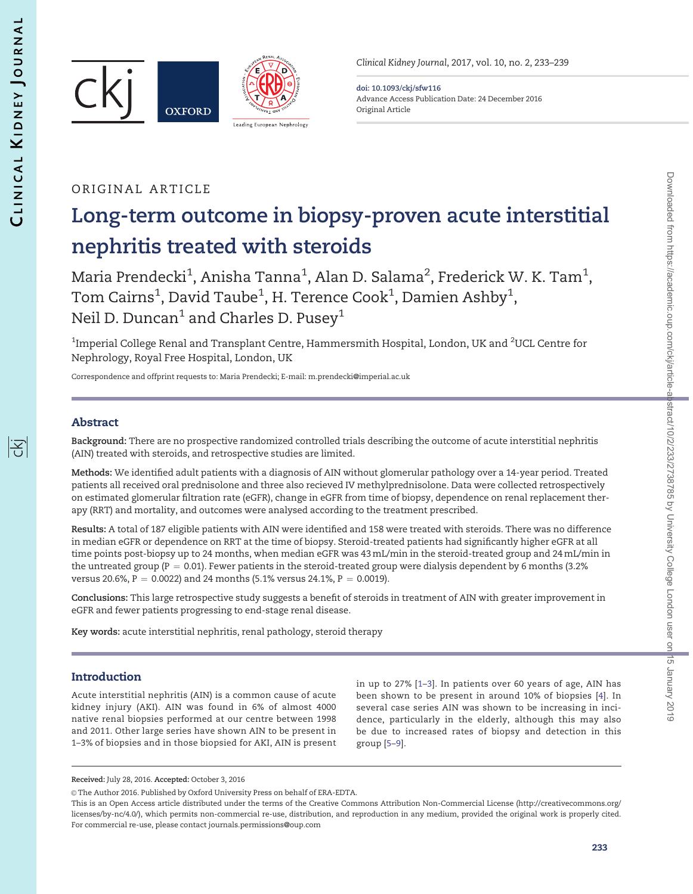序





Clinical Kidney Journal, 2017, vol. 10, no. 2, 233–239

doi: 10.1093/ckj/sfw116 Advance Access Publication Date: 24 December 2016 Original Article

# ORIGINAL ARTICLE

# Long-term outcome in biopsy-proven acute interstitial nephritis treated with steroids

Maria Prendecki $^1$ , Anisha Tanna $^1$ , Alan D. Salama $^2$ , Frederick W. K. Tam $^1$ , Tom Cairns $^1$ , David Taube $^1$ , H. Terence Cook $^1$ , Damien Ashby $^1$ , Neil D. Duncan<sup>1</sup> and Charles D. Pusey<sup>1</sup>

 $^{\rm 1}$ Imperial College Renal and Transplant Centre, Hammersmith Hospital, London, UK and  $^{\rm 2}$ UCL Centre for Nephrology, Royal Free Hospital, London, UK

Correspondence and offprint requests to: Maria Prendecki; E-mail: [m.prendecki@imperial.ac.uk](mailto:m.prendecki@imperial.ac.uk)

## Abstract

Background: There are no prospective randomized controlled trials describing the outcome of acute interstitial nephritis (AIN) treated with steroids, and retrospective studies are limited.

Methods: We identified adult patients with a diagnosis of AIN without glomerular pathology over a 14-year period. Treated patients all received oral prednisolone and three also recieved IV methylprednisolone. Data were collected retrospectively on estimated glomerular filtration rate (eGFR), change in eGFR from time of biopsy, dependence on renal replacement therapy (RRT) and mortality, and outcomes were analysed according to the treatment prescribed.

Results: A total of 187 eligible patients with AIN were identified and 158 were treated with steroids. There was no difference in median eGFR or dependence on RRT at the time of biopsy. Steroid-treated patients had significantly higher eGFR at all time points post-biopsy up to 24 months, when median eGFR was 43 mL/min in the steroid-treated group and 24 mL/min in the untreated group ( $P = 0.01$ ). Fewer patients in the steroid-treated group were dialysis dependent by 6 months (3.2%) versus 20.6%,  $P = 0.0022$ ) and 24 months (5.1% versus 24.1%,  $P = 0.0019$ ).

Conclusions: This large retrospective study suggests a benefit of steroids in treatment of AIN with greater improvement in eGFR and fewer patients progressing to end-stage renal disease.

Key words: acute interstitial nephritis, renal pathology, steroid therapy

## Introduction

Acute interstitial nephritis (AIN) is a common cause of acute kidney injury (AKI). AIN was found in 6% of almost 4000 native renal biopsies performed at our centre between 1998 and 2011. Other large series have shown AIN to be present in 1–3% of biopsies and in those biopsied for AKI, AIN is present in up to 27% [\[1–3\]](#page-5-0). In patients over 60 years of age, AIN has been shown to be present in around 10% of biopsies [[4](#page-5-0)]. In several case series AIN was shown to be increasing in incidence, particularly in the elderly, although this may also be due to increased rates of biopsy and detection in this group [[5](#page-5-0)–[9\]](#page-5-0).

Received: July 28, 2016. Accepted: October 3, 2016

<sup>©</sup> The Author 2016. Published by Oxford University Press on behalf of ERA-EDTA.

This is an Open Access article distributed under the terms of the Creative Commons Attribution Non-Commercial License (http://creativecommons.org/ licenses/by-nc/4.0/), which permits non-commercial re-use, distribution, and reproduction in any medium, provided the original work is properly cited. For commercial re-use, please contact journals.permissions@oup.com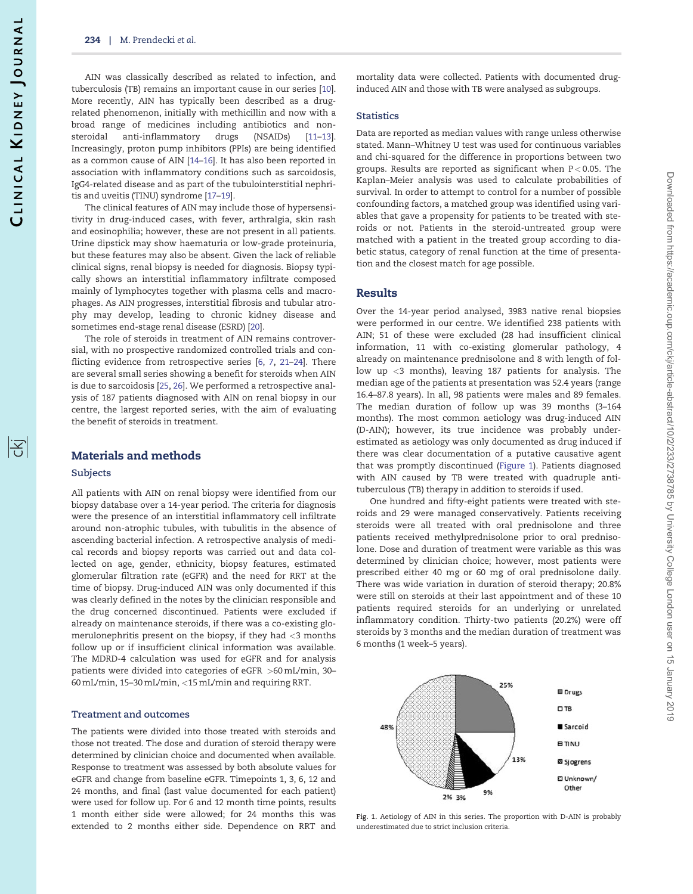ĪŦ

AIN was classically described as related to infection, and tuberculosis (TB) remains an important cause in our series [\[10\]](#page-5-0). More recently, AIN has typically been described as a drugrelated phenomenon, initially with methicillin and now with a broad range of medicines including antibiotics and nonsteroidal anti-inflammatory drugs (NSAIDs) [\[11–13\]](#page-5-0). Increasingly, proton pump inhibitors (PPIs) are being identified as a common cause of AIN [[14](#page-5-0)–[16](#page-5-0)]. It has also been reported in association with inflammatory conditions such as sarcoidosis, IgG4-related disease and as part of the tubulointerstitial nephritis and uveitis (TINU) syndrome [\[17–19\]](#page-5-0).

The clinical features of AIN may include those of hypersensitivity in drug-induced cases, with fever, arthralgia, skin rash and eosinophilia; however, these are not present in all patients. Urine dipstick may show haematuria or low-grade proteinuria, but these features may also be absent. Given the lack of reliable clinical signs, renal biopsy is needed for diagnosis. Biopsy typically shows an interstitial inflammatory infiltrate composed mainly of lymphocytes together with plasma cells and macrophages. As AIN progresses, interstitial fibrosis and tubular atrophy may develop, leading to chronic kidney disease and sometimes end-stage renal disease (ESRD) [\[20\]](#page-6-0).

The role of steroids in treatment of AIN remains controversial, with no prospective randomized controlled trials and conflicting evidence from retrospective series [\[6](#page-5-0), [7,](#page-5-0) [21–24\]](#page-6-0). There are several small series showing a benefit for steroids when AIN is due to sarcoidosis [[25](#page-6-0), [26](#page-6-0)]. We performed a retrospective analysis of 187 patients diagnosed with AIN on renal biopsy in our centre, the largest reported series, with the aim of evaluating the benefit of steroids in treatment.

### Materials and methods

#### **Subjects**

All patients with AIN on renal biopsy were identified from our biopsy database over a 14-year period. The criteria for diagnosis were the presence of an interstitial inflammatory cell infiltrate around non-atrophic tubules, with tubulitis in the absence of ascending bacterial infection. A retrospective analysis of medical records and biopsy reports was carried out and data collected on age, gender, ethnicity, biopsy features, estimated glomerular filtration rate (eGFR) and the need for RRT at the time of biopsy. Drug-induced AIN was only documented if this was clearly defined in the notes by the clinician responsible and the drug concerned discontinued. Patients were excluded if already on maintenance steroids, if there was a co-existing glomerulonephritis present on the biopsy, if they had <3 months follow up or if insufficient clinical information was available. The MDRD-4 calculation was used for eGFR and for analysis patients were divided into categories of eGFR >60 mL/min, 30– 60 mL/min, 15–30 mL/min, <15 mL/min and requiring RRT.

### Treatment and outcomes

The patients were divided into those treated with steroids and those not treated. The dose and duration of steroid therapy were determined by clinician choice and documented when available. Response to treatment was assessed by both absolute values for eGFR and change from baseline eGFR. Timepoints 1, 3, 6, 12 and 24 months, and final (last value documented for each patient) were used for follow up. For 6 and 12 month time points, results 1 month either side were allowed; for 24 months this was extended to 2 months either side. Dependence on RRT and

#### **Statistics**

Data are reported as median values with range unless otherwise stated. Mann–Whitney U test was used for continuous variables and chi-squared for the difference in proportions between two groups. Results are reported as significant when P < 0.05. The Kaplan–Meier analysis was used to calculate probabilities of survival. In order to attempt to control for a number of possible confounding factors, a matched group was identified using variables that gave a propensity for patients to be treated with steroids or not. Patients in the steroid-untreated group were matched with a patient in the treated group according to diabetic status, category of renal function at the time of presentation and the closest match for age possible.

## Results

Over the 14-year period analysed, 3983 native renal biopsies were performed in our centre. We identified 238 patients with AIN; 51 of these were excluded (28 had insufficient clinical information, 11 with co-existing glomerular pathology, 4 already on maintenance prednisolone and 8 with length of follow up <3 months), leaving 187 patients for analysis. The median age of the patients at presentation was 52.4 years (range 16.4–87.8 years). In all, 98 patients were males and 89 females. The median duration of follow up was 39 months (3–164 months). The most common aetiology was drug-induced AIN (D-AIN); however, its true incidence was probably underestimated as aetiology was only documented as drug induced if there was clear documentation of a putative causative agent that was promptly discontinued (Figure 1). Patients diagnosed with AIN caused by TB were treated with quadruple antituberculous (TB) therapy in addition to steroids if used.

One hundred and fifty-eight patients were treated with steroids and 29 were managed conservatively. Patients receiving steroids were all treated with oral prednisolone and three patients received methylprednisolone prior to oral prednisolone. Dose and duration of treatment were variable as this was determined by clinician choice; however, most patients were prescribed either 40 mg or 60 mg of oral prednisolone daily. There was wide variation in duration of steroid therapy; 20.8% were still on steroids at their last appointment and of these 10 patients required steroids for an underlying or unrelated inflammatory condition. Thirty-two patients (20.2%) were off steroids by 3 months and the median duration of treatment was 6 months (1 week–5 years).



Fig. 1. Aetiology of AIN in this series. The proportion with D-AIN is probably underestimated due to strict inclusion criteria.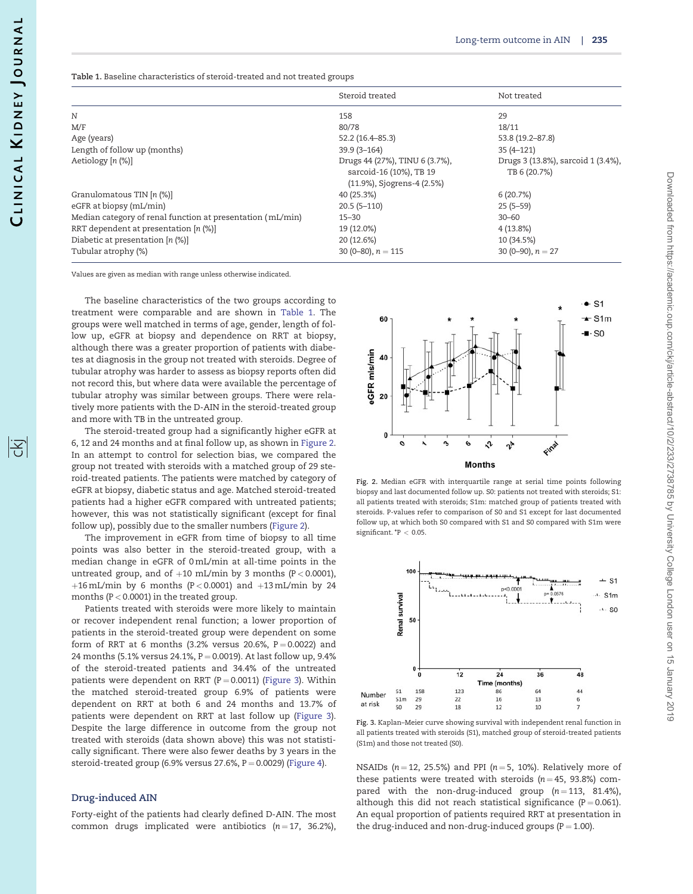阁

Table 1. Baseline characteristics of steroid-treated and not treated groups

|                                                            | Steroid treated                                                                         | Not treated                                        |
|------------------------------------------------------------|-----------------------------------------------------------------------------------------|----------------------------------------------------|
| N                                                          | 158                                                                                     | 29                                                 |
| M/F                                                        | 80/78                                                                                   | 18/11                                              |
| Age (years)                                                | 52.2 (16.4–85.3)                                                                        | 53.8 (19.2-87.8)                                   |
| Length of follow up (months)                               | $39.9(3 - 164)$                                                                         | $35(4 - 121)$                                      |
| Aetiology [n (%)]                                          | Drugs 44 (27%), TINU 6 (3.7%),<br>sarcoid-16 (10%), TB 19<br>(11.9%), Sjogrens-4 (2.5%) | Drugs 3 (13.8%), sarcoid 1 (3.4%),<br>TB 6 (20.7%) |
| Granulomatous TIN [n (%)]                                  | 40 (25.3%)                                                                              | 6(20.7%)                                           |
| eGFR at biopsy (mL/min)                                    | $20.5(5-110)$                                                                           | $25(5-59)$                                         |
| Median category of renal function at presentation (mL/min) | $15 - 30$                                                                               | $30 - 60$                                          |
| RRT dependent at presentation $[n \, (\%)]$                | 19 (12.0%)                                                                              | $4(13.8\%)$                                        |
| Diabetic at presentation [n (%)]                           | 20 (12.6%)                                                                              | 10 (34.5%)                                         |
| Tubular atrophy (%)                                        | 30 (0-80), $n = 115$                                                                    | 30 (0–90), $n = 27$                                |

Values are given as median with range unless otherwise indicated.

The baseline characteristics of the two groups according to treatment were comparable and are shown in Table 1. The groups were well matched in terms of age, gender, length of follow up, eGFR at biopsy and dependence on RRT at biopsy, although there was a greater proportion of patients with diabetes at diagnosis in the group not treated with steroids. Degree of tubular atrophy was harder to assess as biopsy reports often did not record this, but where data were available the percentage of tubular atrophy was similar between groups. There were relatively more patients with the D-AIN in the steroid-treated group and more with TB in the untreated group.

The steroid-treated group had a significantly higher eGFR at 6, 12 and 24 months and at final follow up, as shown in Figure 2. In an attempt to control for selection bias, we compared the group not treated with steroids with a matched group of 29 steroid-treated patients. The patients were matched by category of eGFR at biopsy, diabetic status and age. Matched steroid-treated patients had a higher eGFR compared with untreated patients; however, this was not statistically significant (except for final follow up), possibly due to the smaller numbers (Figure 2).

The improvement in eGFR from time of biopsy to all time points was also better in the steroid-treated group, with a median change in eGFR of 0 mL/min at all-time points in the untreated group, and of  $+10$  mL/min by 3 months (P < 0.0001), +16 mL/min by 6 months (P < 0.0001) and +13 mL/min by 24 months (P < 0.0001) in the treated group.

Patients treated with steroids were more likely to maintain or recover independent renal function; a lower proportion of patients in the steroid-treated group were dependent on some form of RRT at 6 months (3.2% versus 20.6%,  $P = 0.0022$ ) and 24 months (5.1% versus 24.1%,  $P = 0.0019$ ). At last follow up, 9.4% of the steroid-treated patients and 34.4% of the untreated patients were dependent on RRT ( $P = 0.0011$ ) (Figure 3). Within the matched steroid-treated group 6.9% of patients were dependent on RRT at both 6 and 24 months and 13.7% of patients were dependent on RRT at last follow up (Figure 3). Despite the large difference in outcome from the group not treated with steroids (data shown above) this was not statistically significant. There were also fewer deaths by 3 years in the steroid-treated group (6.9% versus  $27.6%$ ,  $P = 0.0029$ ) ([Figure 4\)](#page-3-0).

#### Drug-induced AIN

Forty-eight of the patients had clearly defined D-AIN. The most common drugs implicated were antibiotics  $(n = 17, 36.2\%),$ 



Fig. 2. Median eGFR with interquartile range at serial time points following biopsy and last documented follow up. S0: patients not treated with steroids; S1: all patients treated with steroids; S1m: matched group of patients treated with steroids. P-values refer to comparison of S0 and S1 except for last documented follow up, at which both S0 compared with S1 and S0 compared with S1m were significant.  $P < 0.05$ .



Fig. 3. Kaplan–Meier curve showing survival with independent renal function in all patients treated with steroids (S1), matched group of steroid-treated patients (S1m) and those not treated (S0).

NSAIDs ( $n = 12$ , 25.5%) and PPI ( $n = 5$ , 10%). Relatively more of these patients were treated with steroids ( $n = 45$ , 93.8%) compared with the non-drug-induced group  $(n = 113, 81.4\%),$ although this did not reach statistical significance ( $P = 0.061$ ). An equal proportion of patients required RRT at presentation in the drug-induced and non-drug-induced groups ( $P = 1.00$ ).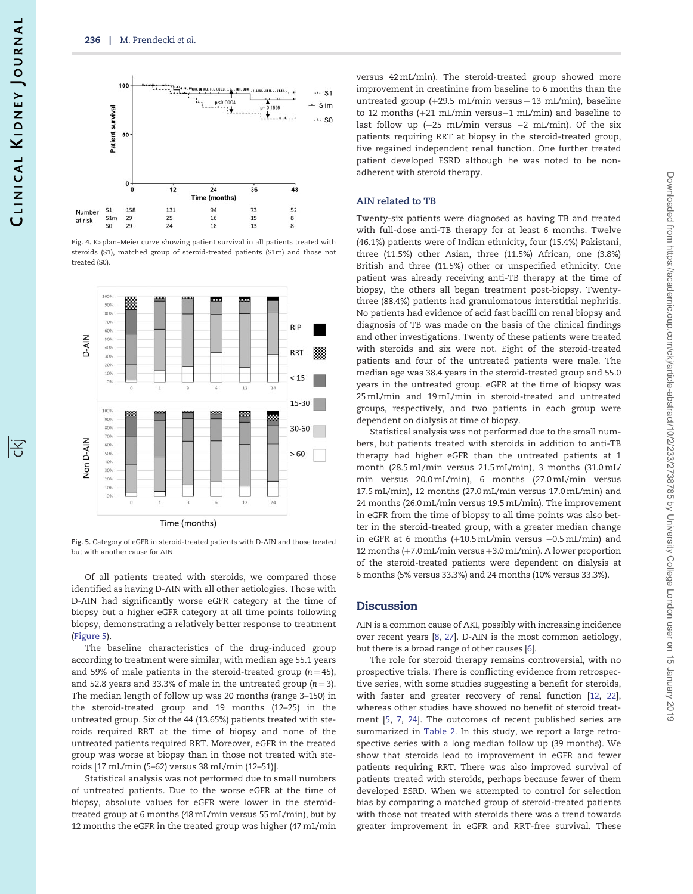<span id="page-3-0"></span>

Fig. 4. Kaplan–Meier curve showing patient survival in all patients treated with steroids (S1), matched group of steroid-treated patients (S1m) and those not treated (S0).



Fig. 5. Category of eGFR in steroid-treated patients with D-AIN and those treated but with another cause for AIN.

Of all patients treated with steroids, we compared those identified as having D-AIN with all other aetiologies. Those with D-AIN had significantly worse eGFR category at the time of biopsy but a higher eGFR category at all time points following biopsy, demonstrating a relatively better response to treatment (Figure 5).

The baseline characteristics of the drug-induced group according to treatment were similar, with median age 55.1 years and 59% of male patients in the steroid-treated group ( $n = 45$ ), and 52.8 years and 33.3% of male in the untreated group  $(n = 3)$ . The median length of follow up was 20 months (range 3–150) in the steroid-treated group and 19 months (12–25) in the untreated group. Six of the 44 (13.65%) patients treated with steroids required RRT at the time of biopsy and none of the untreated patients required RRT. Moreover, eGFR in the treated group was worse at biopsy than in those not treated with steroids [17 mL/min (5–62) versus 38 mL/min (12–51)].

Statistical analysis was not performed due to small numbers of untreated patients. Due to the worse eGFR at the time of biopsy, absolute values for eGFR were lower in the steroidtreated group at 6 months (48 mL/min versus 55 mL/min), but by 12 months the eGFR in the treated group was higher (47 mL/min

versus 42 mL/min). The steroid-treated group showed more improvement in creatinine from baseline to 6 months than the untreated group  $(+29.5 \text{ mL/min}$  versus  $+13 \text{ mL/min}$ , baseline to 12 months  $(+21 \text{ mL/min}$  versus $-1 \text{ mL/min}$  and baseline to last follow up ( $+25$  mL/min versus  $-2$  mL/min). Of the six patients requiring RRT at biopsy in the steroid-treated group, five regained independent renal function. One further treated patient developed ESRD although he was noted to be nonadherent with steroid therapy.

#### AIN related to TB

Twenty-six patients were diagnosed as having TB and treated with full-dose anti-TB therapy for at least 6 months. Twelve (46.1%) patients were of Indian ethnicity, four (15.4%) Pakistani, three (11.5%) other Asian, three (11.5%) African, one (3.8%) British and three (11.5%) other or unspecified ethnicity. One patient was already receiving anti-TB therapy at the time of biopsy, the others all began treatment post-biopsy. Twentythree (88.4%) patients had granulomatous interstitial nephritis. No patients had evidence of acid fast bacilli on renal biopsy and diagnosis of TB was made on the basis of the clinical findings and other investigations. Twenty of these patients were treated with steroids and six were not. Eight of the steroid-treated patients and four of the untreated patients were male. The median age was 38.4 years in the steroid-treated group and 55.0 years in the untreated group. eGFR at the time of biopsy was 25 mL/min and 19 mL/min in steroid-treated and untreated groups, respectively, and two patients in each group were dependent on dialysis at time of biopsy.

Statistical analysis was not performed due to the small numbers, but patients treated with steroids in addition to anti-TB therapy had higher eGFR than the untreated patients at 1 month (28.5 mL/min versus 21.5 mL/min), 3 months (31.0 mL/ min versus 20.0 mL/min), 6 months (27.0 mL/min versus 17.5 mL/min), 12 months (27.0 mL/min versus 17.0 mL/min) and 24 months (26.0 mL/min versus 19.5 mL/min). The improvement in eGFR from the time of biopsy to all time points was also better in the steroid-treated group, with a greater median change in eGFR at 6 months (+10.5 mL/min versus –0.5 mL/min) and 12 months  $(+7.0$  mL/min versus  $+3.0$  mL/min). A lower proportion of the steroid-treated patients were dependent on dialysis at 6 months (5% versus 33.3%) and 24 months (10% versus 33.3%).

#### Discussion

AIN is a common cause of AKI, possibly with increasing incidence over recent years [\[8](#page-5-0), [27](#page-6-0)]. D-AIN is the most common aetiology, but there is a broad range of other causes [\[6](#page-5-0)].

The role for steroid therapy remains controversial, with no prospective trials. There is conflicting evidence from retrospective series, with some studies suggesting a benefit for steroids, with faster and greater recovery of renal function [\[12,](#page-5-0) [22\]](#page-6-0), whereas other studies have showed no benefit of steroid treatment [[5,](#page-5-0) [7,](#page-5-0) [24\]](#page-6-0). The outcomes of recent published series are summarized in [Table 2](#page-4-0). In this study, we report a large retrospective series with a long median follow up (39 months). We show that steroids lead to improvement in eGFR and fewer patients requiring RRT. There was also improved survival of patients treated with steroids, perhaps because fewer of them developed ESRD. When we attempted to control for selection bias by comparing a matched group of steroid-treated patients with those not treated with steroids there was a trend towards greater improvement in eGFR and RRT-free survival. These

陪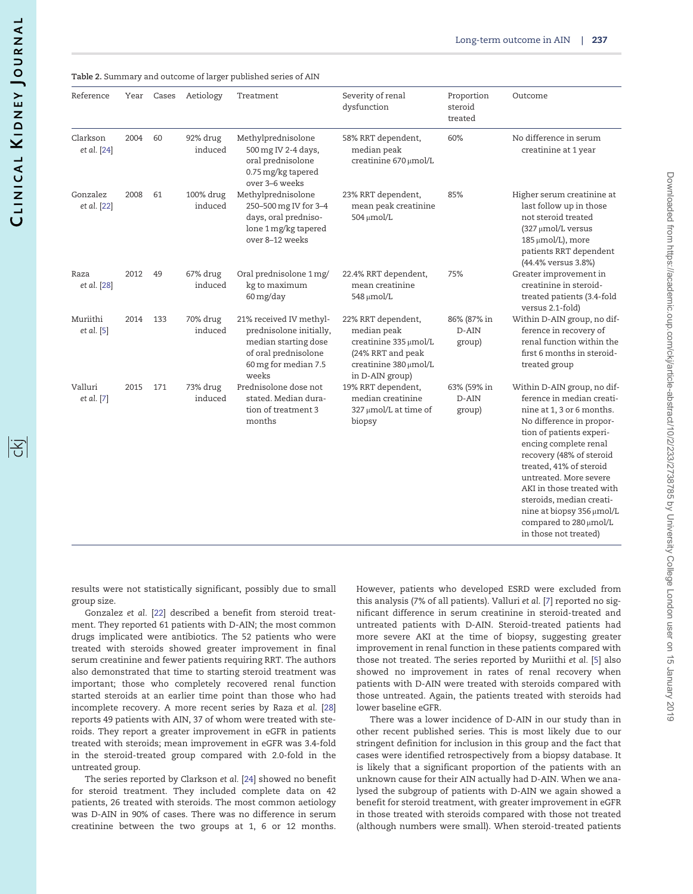<span id="page-4-0"></span>Table 2. Summary and outcome of larger published series of AIN

| Reference               | Year | Cases | Aetiology            | Treatment                                                                                                                           | Severity of renal<br>dysfunction                                                                                            | Proportion<br>steroid<br>treated | Outcome                                                                                                                                                                                                                                                                                                                                                                                          |
|-------------------------|------|-------|----------------------|-------------------------------------------------------------------------------------------------------------------------------------|-----------------------------------------------------------------------------------------------------------------------------|----------------------------------|--------------------------------------------------------------------------------------------------------------------------------------------------------------------------------------------------------------------------------------------------------------------------------------------------------------------------------------------------------------------------------------------------|
| Clarkson<br>et al. [24] | 2004 | 60    | 92% drug<br>induced  | Methylprednisolone<br>500 mg IV 2-4 days,<br>oral prednisolone<br>0.75 mg/kg tapered<br>over 3-6 weeks                              | 58% RRT dependent,<br>median peak<br>creatinine 670 µmol/L                                                                  | 60%                              | No difference in serum<br>creatinine at 1 year                                                                                                                                                                                                                                                                                                                                                   |
| Gonzalez<br>et al. [22] | 2008 | 61    | 100% drug<br>induced | Methylprednisolone<br>250-500 mg IV for 3-4<br>days, oral predniso-<br>lone 1 mg/kg tapered<br>over 8-12 weeks                      | 23% RRT dependent,<br>mean peak creatinine<br>504 µmol/L                                                                    | 85%                              | Higher serum creatinine at<br>last follow up in those<br>not steroid treated<br>(327 µmol/L versus<br>185 µmol/L), more<br>patients RRT dependent<br>(44.4% versus 3.8%)                                                                                                                                                                                                                         |
| Raza<br>et al. [28]     | 2012 | 49    | 67% drug<br>induced  | Oral prednisolone 1 mg/<br>kg to maximum<br>60 mg/day                                                                               | 22.4% RRT dependent,<br>mean creatinine<br>548 µmol/L                                                                       | 75%                              | Greater improvement in<br>creatinine in steroid-<br>treated patients (3.4-fold<br>versus 2.1-fold)                                                                                                                                                                                                                                                                                               |
| Muriithi<br>et al. [5]  | 2014 | 133   | 70% drug<br>induced  | 21% received IV methyl-<br>prednisolone initially,<br>median starting dose<br>of oral prednisolone<br>60 mg for median 7.5<br>weeks | 22% RRT dependent,<br>median peak<br>creatinine 335 µmol/L<br>(24% RRT and peak<br>creatinine 380 µmol/L<br>in D-AIN group) | 86% (87% in<br>D-AIN<br>group)   | Within D-AIN group, no dif-<br>ference in recovery of<br>renal function within the<br>first 6 months in steroid-<br>treated group                                                                                                                                                                                                                                                                |
| Valluri<br>et al. [7]   | 2015 | 171   | 73% drug<br>induced  | Prednisolone dose not<br>stated. Median dura-<br>tion of treatment 3<br>months                                                      | 19% RRT dependent,<br>median creatinine<br>327 µmol/L at time of<br>biopsy                                                  | 63% (59% in<br>D-AIN<br>group)   | Within D-AIN group, no dif-<br>ference in median creati-<br>nine at 1, 3 or 6 months.<br>No difference in propor-<br>tion of patients experi-<br>encing complete renal<br>recovery (48% of steroid<br>treated, 41% of steroid<br>untreated. More severe<br>AKI in those treated with<br>steroids, median creati-<br>nine at biopsy 356 µmol/L<br>compared to 280 µmol/L<br>in those not treated) |

results were not statistically significant, possibly due to small group size.

Gonzalez et al. [\[22](#page-6-0)] described a benefit from steroid treatment. They reported 61 patients with D-AIN; the most common drugs implicated were antibiotics. The 52 patients who were treated with steroids showed greater improvement in final serum creatinine and fewer patients requiring RRT. The authors also demonstrated that time to starting steroid treatment was important; those who completely recovered renal function started steroids at an earlier time point than those who had incomplete recovery. A more recent series by Raza et al. [[28\]](#page-6-0) reports 49 patients with AIN, 37 of whom were treated with steroids. They report a greater improvement in eGFR in patients treated with steroids; mean improvement in eGFR was 3.4-fold in the steroid-treated group compared with 2.0-fold in the untreated group.

The series reported by Clarkson et al. [[24](#page-6-0)] showed no benefit for steroid treatment. They included complete data on 42 patients, 26 treated with steroids. The most common aetiology was D-AIN in 90% of cases. There was no difference in serum creatinine between the two groups at 1, 6 or 12 months.

However, patients who developed ESRD were excluded from this analysis (7% of all patients). Valluri et al. [\[7\]](#page-5-0) reported no significant difference in serum creatinine in steroid-treated and untreated patients with D-AIN. Steroid-treated patients had more severe AKI at the time of biopsy, suggesting greater improvement in renal function in these patients compared with those not treated. The series reported by Muriithi et al. [\[5](#page-5-0)] also showed no improvement in rates of renal recovery when patients with D-AIN were treated with steroids compared with those untreated. Again, the patients treated with steroids had lower baseline eGFR.

There was a lower incidence of D-AIN in our study than in other recent published series. This is most likely due to our stringent definition for inclusion in this group and the fact that cases were identified retrospectively from a biopsy database. It is likely that a significant proportion of the patients with an unknown cause for their AIN actually had D-AIN. When we analysed the subgroup of patients with D-AIN we again showed a benefit for steroid treatment, with greater improvement in eGFR in those treated with steroids compared with those not treated (although numbers were small). When steroid-treated patients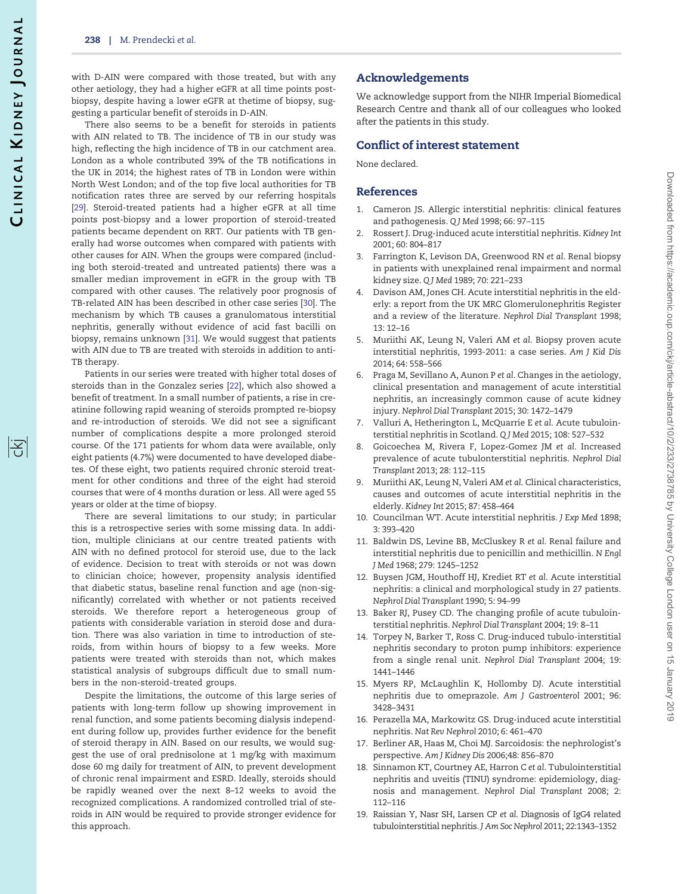<span id="page-5-0"></span>with D-AIN were compared with those treated, but with any other aetiology, they had a higher eGFR at all time points postbiopsy, despite having a lower eGFR at thetime of biopsy, suggesting a particular benefit of steroids in D-AIN.

There also seems to be a benefit for steroids in patients with AIN related to TB. The incidence of TB in our study was high, reflecting the high incidence of TB in our catchment area. London as a whole contributed 39% of the TB notifications in the UK in 2014; the highest rates of TB in London were within North West London; and of the top five local authorities for TB notification rates three are served by our referring hospitals [\[29\]](#page-6-0). Steroid-treated patients had a higher eGFR at all time points post-biopsy and a lower proportion of steroid-treated patients became dependent on RRT. Our patients with TB generally had worse outcomes when compared with patients with other causes for AIN. When the groups were compared (including both steroid-treated and untreated patients) there was a smaller median improvement in eGFR in the group with TB compared with other causes. The relatively poor prognosis of TB-related AIN has been described in other case series [\[30](#page-6-0)]. The mechanism by which TB causes a granulomatous interstitial nephritis, generally without evidence of acid fast bacilli on biopsy, remains unknown [\[31\]](#page-6-0). We would suggest that patients with AIN due to TB are treated with steroids in addition to anti-TB therapy.

Patients in our series were treated with higher total doses of steroids than in the Gonzalez series [[22](#page-6-0)], which also showed a benefit of treatment. In a small number of patients, a rise in creatinine following rapid weaning of steroids prompted re-biopsy and re-introduction of steroids. We did not see a significant number of complications despite a more prolonged steroid course. Of the 171 patients for whom data were available, only eight patients (4.7%) were documented to have developed diabetes. Of these eight, two patients required chronic steroid treatment for other conditions and three of the eight had steroid courses that were of 4 months duration or less. All were aged 55 years or older at the time of biopsy.

There are several limitations to our study; in particular this is a retrospective series with some missing data. In addition, multiple clinicians at our centre treated patients with AIN with no defined protocol for steroid use, due to the lack of evidence. Decision to treat with steroids or not was down to clinician choice; however, propensity analysis identified that diabetic status, baseline renal function and age (non-significantly) correlated with whether or not patients received steroids. We therefore report a heterogeneous group of patients with considerable variation in steroid dose and duration. There was also variation in time to introduction of steroids, from within hours of biopsy to a few weeks. More patients were treated with steroids than not, which makes statistical analysis of subgroups difficult due to small numbers in the non-steroid-treated groups.

Despite the limitations, the outcome of this large series of patients with long-term follow up showing improvement in renal function, and some patients becoming dialysis independent during follow up, provides further evidence for the benefit of steroid therapy in AIN. Based on our results, we would suggest the use of oral prednisolone at 1 mg/kg with maximum dose 60 mg daily for treatment of AIN, to prevent development of chronic renal impairment and ESRD. Ideally, steroids should be rapidly weaned over the next 8–12 weeks to avoid the recognized complications. A randomized controlled trial of steroids in AIN would be required to provide stronger evidence for this approach.

## Acknowledgements

We acknowledge support from the NIHR Imperial Biomedical Research Centre and thank all of our colleagues who looked after the patients in this study.

#### Conflict of interest statement

None declared.

#### References

- 1. Cameron JS. Allergic interstitial nephritis: clinical features and pathogenesis. Q J Med 1998; 66: 97–115
- 2. Rossert J. Drug-induced acute interstitial nephritis. Kidney Int 2001; 60: 804–817
- 3. Farrington K, Levison DA, Greenwood RN et al. Renal biopsy in patients with unexplained renal impairment and normal kidney size. Q J Med 1989; 70: 221–233
- 4. Davison AM, Jones CH. Acute interstitial nephritis in the elderly: a report from the UK MRC Glomerulonephritis Register and a review of the literature. Nephrol Dial Transplant 1998; 13: 12–16
- 5. Muriithi AK, Leung N, Valeri AM et al. Biopsy proven acute interstitial nephritis, 1993-2011: a case series. Am J Kid Dis 2014; 64: 558–566
- 6. Praga M, Sevillano A, Aunon P et al. Changes in the aetiology, clinical presentation and management of acute interstitial nephritis, an increasingly common cause of acute kidney injury. Nephrol Dial Transplant 2015; 30: 1472–1479
- 7. Valluri A, Hetherington L, McQuarrie E et al. Acute tubulointerstitial nephritis in Scotland. Q J Med 2015; 108: 527–532
- 8. Goicoechea M, Rivera F, Lopez-Gomez JM et al. Increased prevalence of acute tubulonterstitial nephritis. Nephrol Dial Transplant 2013; 28: 112–115
- 9. Muriithi AK, Leung N, Valeri AM et al. Clinical characteristics, causes and outcomes of acute interstitial nephritis in the elderly. Kidney Int 2015; 87: 458–464
- 10. Councilman WT. Acute interstitial nephritis. J Exp Med 1898; 3: 393–420
- 11. Baldwin DS, Levine BB, McCluskey R et al. Renal failure and interstitial nephritis due to penicillin and methicillin. N Engl J Med 1968; 279: 1245–1252
- 12. Buysen JGM, Houthoff HJ, Krediet RT et al. Acute interstitial nephritis: a clinical and morphological study in 27 patients. Nephrol Dial Transplant 1990; 5: 94–99
- 13. Baker RJ, Pusey CD. The changing profile of acute tubulointerstitial nephritis. Nephrol Dial Transplant 2004; 19: 8–11
- 14. Torpey N, Barker T, Ross C. Drug-induced tubulo-interstitial nephritis secondary to proton pump inhibitors: experience from a single renal unit. Nephrol Dial Transplant 2004; 19: 1441–1446
- 15. Myers RP, McLaughlin K, Hollomby DJ. Acute interstitial nephritis due to omeprazole. Am J Gastroenterol 2001; 96: 3428–3431
- 16. Perazella MA, Markowitz GS. Drug-induced acute interstitial nephritis. Nat Rev Nephrol 2010; 6: 461–470
- 17. Berliner AR, Haas M, Choi MJ. Sarcoidosis: the nephrologist's perspective. Am J Kidney Dis 2006;48: 856–870
- 18. Sinnamon KT, Courtney AE, Harron C et al. Tubulointerstitial nephritis and uveitis (TINU) syndrome: epidemiology, diagnosis and management. Nephrol Dial Transplant 2008; 2: 112–116
- 19. Raissian Y, Nasr SH, Larsen CP et al. Diagnosis of IgG4 related tubulointerstitial nephritis. J Am Soc Nephrol 2011; 22:1343–1352

序